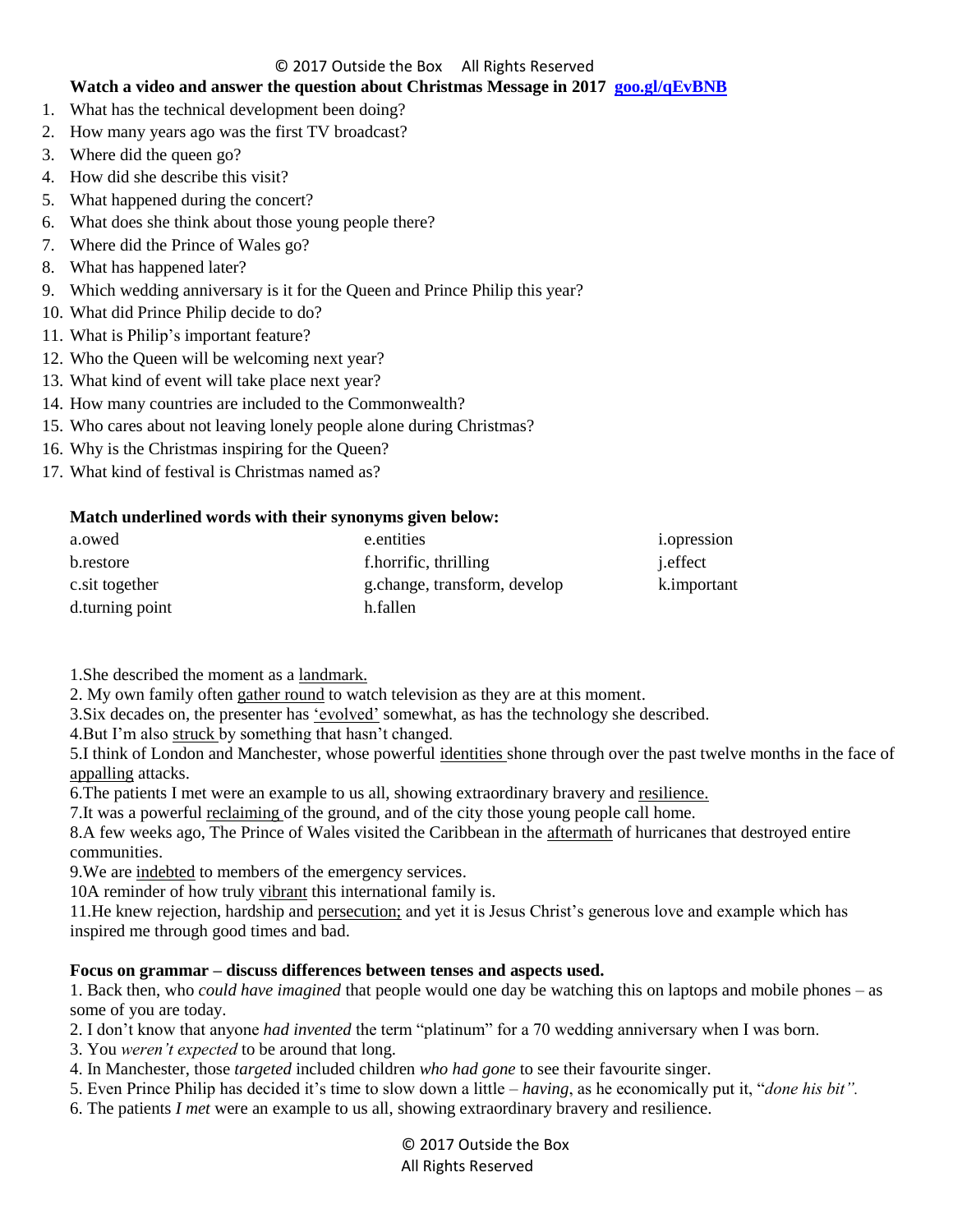### © 2017 Outside the Box All Rights Reserved

## **Watch a video and answer the question about Christmas Message in 2017 [goo.gl/qEvBNB](https://www.youtube.com/watch?v=IjTBcqpl2kc)**

- 1. What has the technical development been doing?
- 2. How many years ago was the first TV broadcast?
- 3. Where did the queen go?
- 4. How did she describe this visit?
- 5. What happened during the concert?
- 6. What does she think about those young people there?
- 7. Where did the Prince of Wales go?
- 8. What has happened later?
- 9. Which wedding anniversary is it for the Queen and Prince Philip this year?
- 10. What did Prince Philip decide to do?
- 11. What is Philip"s important feature?
- 12. Who the Queen will be welcoming next year?
- 13. What kind of event will take place next year?
- 14. How many countries are included to the Commonwealth?
- 15. Who cares about not leaving lonely people alone during Christmas?
- 16. Why is the Christmas inspiring for the Queen?
- 17. What kind of festival is Christmas named as?

## **Match underlined words with their synonyms given below:**

| a.owed          | e.entities                   | <i>i.opression</i> |
|-----------------|------------------------------|--------------------|
| b.restore       | f.horrific, thrilling        | <i>i</i> .effect   |
| c.sit together  | g.change, transform, develop | k.important        |
| d.turning point | h.fallen                     |                    |

1.She described the moment as a landmark.

2. My own family often gather round to watch television as they are at this moment.

3.Six decades on, the presenter has "evolved" somewhat, as has the technology she described.

4. But I'm also struck by something that hasn't changed.

5.I think of London and Manchester, whose powerful identities shone through over the past twelve months in the face of appalling attacks.

6.The patients I met were an example to us all, showing extraordinary bravery and resilience.

7. It was a powerful reclaiming of the ground, and of the city those young people call home.

8.A few weeks ago, The Prince of Wales visited the Caribbean in the aftermath of hurricanes that destroyed entire communities.

9. We are indebted to members of the emergency services.

10A reminder of how truly vibrant this international family is.

11.He knew rejection, hardship and persecution; and yet it is Jesus Christ"s generous love and example which has inspired me through good times and bad.

# **Focus on grammar – discuss differences between tenses and aspects used.**

1. Back then, who *could have imagined* that people would one day be watching this on laptops and mobile phones – as some of you are today.

2. I don"t know that anyone *had invented* the term "platinum" for a 70 wedding anniversary when I was born.

- 3. You *weren't expected* to be around that long.
- 4. In Manchester, those *targeted* included children *who had gone* to see their favourite singer.
- 5. Even Prince Philip has decided it"s time to slow down a little *– having*, as he economically put it, "*done his bit".*
- 6. The patients *I met* were an example to us all, showing extraordinary bravery and resilience.

© 2017 Outside the Box All Rights Reserved